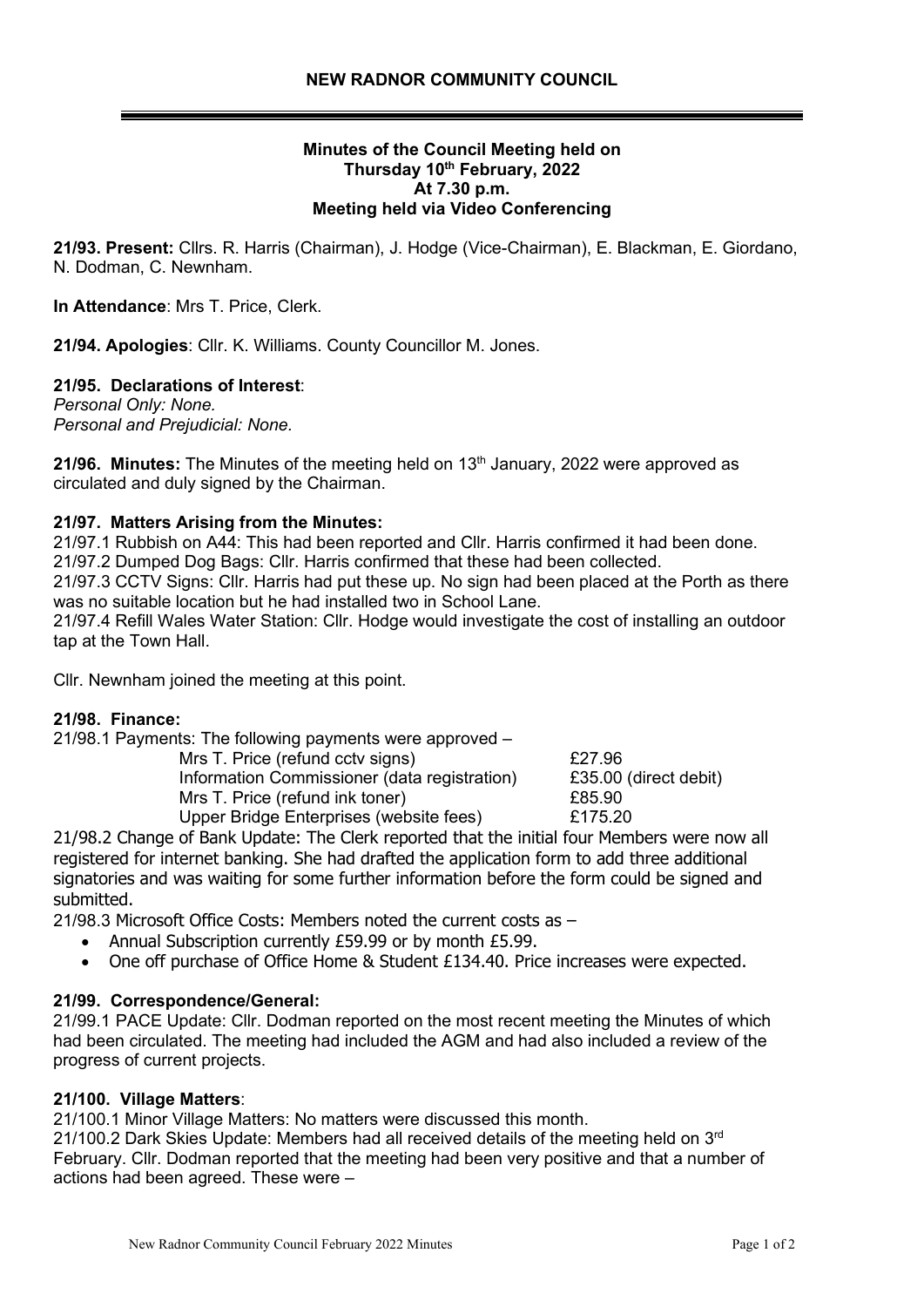## **Minutes of the Council Meeting held on Thursday 10 th February, 2022 At 7.30 p.m. Meeting held via Video Conferencing**

**21/93. Present:** Cllrs. R. Harris (Chairman), J. Hodge (Vice-Chairman), E. Blackman, E. Giordano, N. Dodman, C. Newnham.

**In Attendance**: Mrs T. Price, Clerk.

**21/94. Apologies**: Cllr. K. Williams. County Councillor M. Jones.

## **21/95. Declarations of Interest**:

*Personal Only: None. Personal and Prejudicial: None.*

21/96. Minutes: The Minutes of the meeting held on 13<sup>th</sup> January, 2022 were approved as circulated and duly signed by the Chairman.

### **21/97. Matters Arising from the Minutes:**

21/97.1 Rubbish on A44: This had been reported and Cllr. Harris confirmed it had been done. 21/97.2 Dumped Dog Bags: Cllr. Harris confirmed that these had been collected.

21/97.3 CCTV Signs: Cllr. Harris had put these up. No sign had been placed at the Porth as there was no suitable location but he had installed two in School Lane.

21/97.4 Refill Wales Water Station: Cllr. Hodge would investigate the cost of installing an outdoor tap at the Town Hall.

Cllr. Newnham joined the meeting at this point.

#### **21/98. Finance:**

21/98.1 Payments: The following payments were approved –

Mrs T. Price (refund cctv signs)  $£27.96$ Information Commissioner (data registration) £35.00 (direct debit) Mrs T. Price (refund ink toner) 685.90 Upper Bridge Enterprises (website fees) £175.20

21/98.2 Change of Bank Update: The Clerk reported that the initial four Members were now all registered for internet banking. She had drafted the application form to add three additional signatories and was waiting for some further information before the form could be signed and submitted.

21/98.3 Microsoft Office Costs: Members noted the current costs as –

- Annual Subscription currently £59.99 or by month £5.99.
- One off purchase of Office Home & Student £134.40. Price increases were expected.

#### **21/99. Correspondence/General:**

21/99.1 PACE Update: Cllr. Dodman reported on the most recent meeting the Minutes of which had been circulated. The meeting had included the AGM and had also included a review of the progress of current projects.

## **21/100. Village Matters**:

21/100.1 Minor Village Matters: No matters were discussed this month.

21/100.2 Dark Skies Update: Members had all received details of the meeting held on  $3<sup>rd</sup>$ February. Cllr. Dodman reported that the meeting had been very positive and that a number of actions had been agreed. These were –